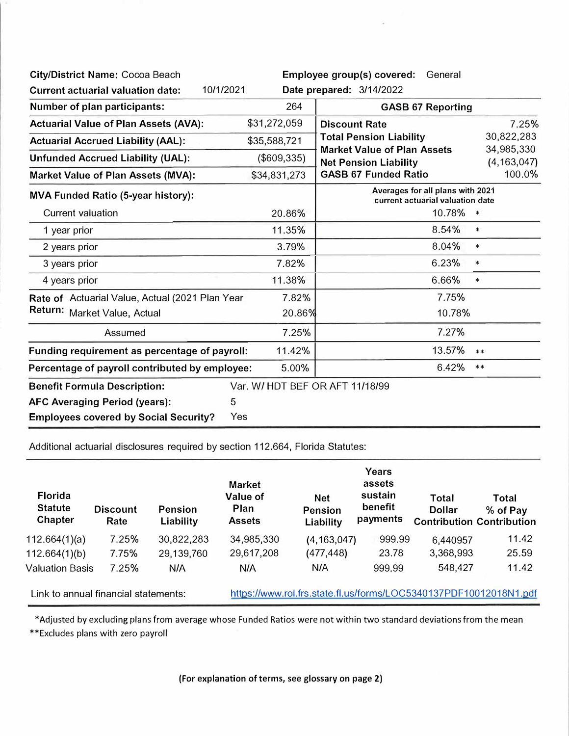| City/District Name: Cocoa Beach                         |                                                                      | Employee group(s) covered: General                                                                                               |            |  |
|---------------------------------------------------------|----------------------------------------------------------------------|----------------------------------------------------------------------------------------------------------------------------------|------------|--|
| 10/1/2021<br><b>Current actuarial valuation date:</b>   |                                                                      | Date prepared: 3/14/2022                                                                                                         |            |  |
| Number of plan participants:                            | 264                                                                  | <b>GASB 67 Reporting</b>                                                                                                         |            |  |
| <b>Actuarial Value of Plan Assets (AVA):</b>            | \$31,272,059                                                         | <b>Discount Rate</b>                                                                                                             | 7.25%      |  |
| <b>Actuarial Accrued Liability (AAL):</b>               | \$35,588,721                                                         | 30,822,283<br><b>Total Pension Liability</b><br><b>Market Value of Plan Assets</b><br>34,985,330<br><b>Net Pension Liability</b> |            |  |
| <b>Unfunded Accrued Liability (UAL):</b>                | (\$609,335)                                                          |                                                                                                                                  |            |  |
| <b>Market Value of Plan Assets (MVA):</b>               | \$34,831,273                                                         | (4, 163, 047)<br>100.0%<br><b>GASB 67 Funded Ratio</b>                                                                           |            |  |
| <b>MVA Funded Ratio (5-year history):</b>               | Averages for all plans with 2021<br>current actuarial valuation date |                                                                                                                                  |            |  |
| <b>Current valuation</b>                                | 20.86%                                                               | 10.78%                                                                                                                           | $\ast$     |  |
| 1 year prior                                            | 11.35%                                                               | 8.54%                                                                                                                            | $\ast$     |  |
| 2 years prior                                           | 3.79%                                                                | 8.04%                                                                                                                            | $\ast$     |  |
| 3 years prior                                           | 7.82%                                                                | 6.23%                                                                                                                            | $\ast$     |  |
| 4 years prior                                           | 11.38%                                                               | 6.66%                                                                                                                            | $\ast$     |  |
| Rate of Actuarial Value, Actual (2021 Plan Year         | 7.82%                                                                | 7.75%                                                                                                                            |            |  |
| Return: Market Value, Actual                            | 20.86%                                                               | 10.78%                                                                                                                           |            |  |
| Assumed                                                 | 7.25%                                                                | 7.27%                                                                                                                            |            |  |
| Funding requirement as percentage of payroll:           | 11.42%                                                               | 13.57%                                                                                                                           | $***$      |  |
| 5.00%<br>Percentage of payroll contributed by employee: |                                                                      | 6.42%                                                                                                                            | $\ast\ast$ |  |
| <b>Benefit Formula Description:</b>                     |                                                                      | Var. W/ HDT BEF OR AFT 11/18/99                                                                                                  |            |  |
| 5<br><b>AFC Averaging Period (years):</b>               |                                                                      |                                                                                                                                  |            |  |
| <b>Employees covered by Social Security?</b><br>Yes     |                                                                      |                                                                                                                                  |            |  |

Additional actuarial disclosures required by section 112.664, Florida Statutes:

| <b>Florida</b><br><b>Statute</b><br><b>Chapter</b> | <b>Discount</b><br>Rate | <b>Pension</b><br>Liability | <b>Market</b><br>Value of<br>Plan<br><b>Assets</b> | <b>Net</b><br><b>Pension</b><br>Liability                         | Years<br>assets<br>sustain<br>benefit<br>payments | Total<br><b>Dollar</b> | Total<br>% of Pay<br><b>Contribution Contribution</b> |
|----------------------------------------------------|-------------------------|-----------------------------|----------------------------------------------------|-------------------------------------------------------------------|---------------------------------------------------|------------------------|-------------------------------------------------------|
| 112.664(1)(a)                                      | 7.25%                   | 30,822,283                  | 34,985,330                                         | (4, 163, 047)                                                     | 999.99                                            | 6,440957               | 11.42                                                 |
| 112.664(1)(b)                                      | 7.75%                   | 29,139,760                  | 29,617,208                                         | (477, 448)                                                        | 23.78                                             | 3,368,993              | 25.59                                                 |
| <b>Valuation Basis</b>                             | 7.25%                   | N/A                         | N/A                                                | N/A                                                               | 999.99                                            | 548,427                | 11.42                                                 |
| Link to annual financial statements:               |                         |                             |                                                    | https://www.rol.frs.state.fl.us/forms/LOC5340137PDF10012018N1.pdf |                                                   |                        |                                                       |

\*Adjusted by excluding plans from average whose Funded Ratios were not within two standard deviations from the mean

\*\*Excludes plans with zero payroll